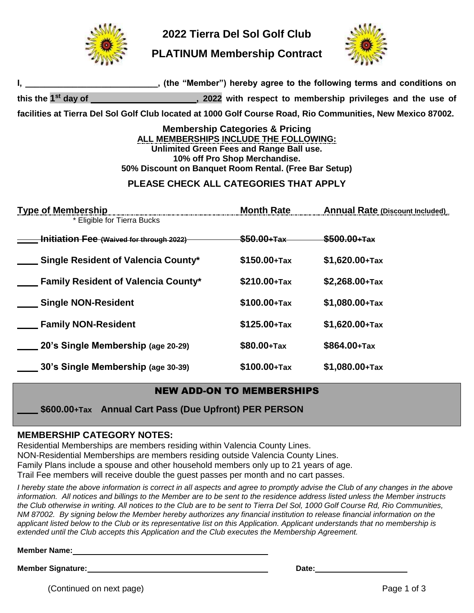

**2022 Tierra Del Sol Golf Club** 

**PLATINUM Membership Contract**



| _, (the "Member") hereby agree to the following terms and conditions on                                                                                                                                                    |                        |                                                             |
|----------------------------------------------------------------------------------------------------------------------------------------------------------------------------------------------------------------------------|------------------------|-------------------------------------------------------------|
| this the 1 <sup>st</sup> day of                                                                                                                                                                                            |                        | , 2022 with respect to membership privileges and the use of |
| facilities at Tierra Del Sol Golf Club located at 1000 Golf Course Road, Rio Communities, New Mexico 87002.                                                                                                                |                        |                                                             |
| <b>Membership Categories &amp; Pricing</b><br>ALL MEMBERSHIPS INCLUDE THE FOLLOWING:<br>Unlimited Green Fees and Range Ball use.<br>10% off Pro Shop Merchandise.<br>50% Discount on Banquet Room Rental. (Free Bar Setup) |                        |                                                             |
| PLEASE CHECK ALL CATEGORIES THAT APPLY                                                                                                                                                                                     |                        |                                                             |
| <b>Type of Membership</b><br>* Eligible for Tierra Bucks                                                                                                                                                                   |                        | <b>Annual Rate (Discount Included)</b>                      |
| <b>Initiation Fee (Waived for through 2022)</b>                                                                                                                                                                            | <del>\$50.00+Tax</del> | $$500.00+Tax$                                               |
| <b>Single Resident of Valencia County*</b>                                                                                                                                                                                 | $$150.00+Tax$          | $$1,620.00+Tax$                                             |
| <b>Example 2 Family Resident of Valencia County*</b>                                                                                                                                                                       | $$210.00+Tax$          | $$2,268.00+Tax$                                             |
| Single NON-Resident                                                                                                                                                                                                        | $$100.00+Tax$          | $$1,080.00+Tax$                                             |
| <b>Family NON-Resident</b>                                                                                                                                                                                                 | $$125.00+Tax$          | $$1,620.00+Tax$                                             |
| 20's Single Membership (age 20-29)                                                                                                                                                                                         | \$80.00+Tax            | \$864.00+Tax                                                |
| __ 30's Single Membership (age 30-39)                                                                                                                                                                                      | $$100.00+Tax$          | $$1,080.00+Tax$                                             |

# NEW ADD-ON TO MEMBERSHIPS

 **\$600.00+Tax Annual Cart Pass (Due Upfront) PER PERSON**

# **MEMBERSHIP CATEGORY NOTES:**

Residential Memberships are members residing within Valencia County Lines. NON-Residential Memberships are members residing outside Valencia County Lines. Family Plans include a spouse and other household members only up to 21 years of age. Trail Fee members will receive double the guest passes per month and no cart passes.

*I* hereby state the above information is correct in all aspects and agree to promptly advise the Club of any changes in the above *information. All notices and billings to the Member are to be sent to the residence address listed unless the Member instructs the Club otherwise in writing. All notices to the Club are to be sent to Tierra Del Sol, 1000 Golf Course Rd, Rio Communities, NM 87002. By signing below the Member hereby authorizes any financial institution to release financial information on the applicant listed below to the Club or its representative list on this Application. Applicant understands that no membership is extended until the Club accepts this Application and the Club executes the Membership Agreement.*

**Member Name:**

**Member Signature: Date:**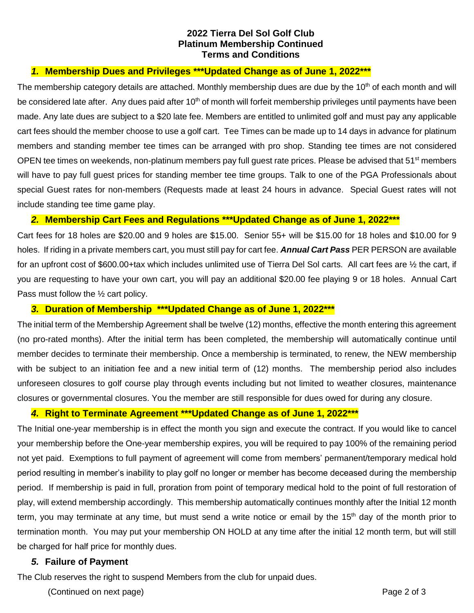### **2022 Tierra Del Sol Golf Club Platinum Membership Continued Terms and Conditions**

# *1.* **Membership Dues and Privileges \*\*\*Updated Change as of June 1, 2022\*\*\***

The membership category details are attached. Monthly membership dues are due by the 10<sup>th</sup> of each month and will be considered late after. Any dues paid after 10<sup>th</sup> of month will forfeit membership privileges until payments have been made. Any late dues are subject to a \$20 late fee. Members are entitled to unlimited golf and must pay any applicable cart fees should the member choose to use a golf cart. Tee Times can be made up to 14 days in advance for platinum members and standing member tee times can be arranged with pro shop. Standing tee times are not considered OPEN tee times on weekends, non-platinum members pay full guest rate prices. Please be advised that 51<sup>st</sup> members will have to pay full guest prices for standing member tee time groups. Talk to one of the PGA Professionals about special Guest rates for non-members (Requests made at least 24 hours in advance. Special Guest rates will not include standing tee time game play.

## *2.* **Membership Cart Fees and Regulations \*\*\*Updated Change as of June 1, 2022\*\*\***

Cart fees for 18 holes are \$20.00 and 9 holes are \$15.00. Senior 55+ will be \$15.00 for 18 holes and \$10.00 for 9 holes. If riding in a private members cart, you must still pay for cart fee. *Annual Cart Pass* PER PERSON are available for an upfront cost of \$600.00+tax which includes unlimited use of Tierra Del Sol carts. All cart fees are 1/2 the cart, if you are requesting to have your own cart, you will pay an additional \$20.00 fee playing 9 or 18 holes. Annual Cart Pass must follow the ½ cart policy.

## *3.* **Duration of Membership \*\*\*Updated Change as of June 1, 2022\*\*\***

The initial term of the Membership Agreement shall be twelve (12) months, effective the month entering this agreement (no pro-rated months). After the initial term has been completed, the membership will automatically continue until member decides to terminate their membership. Once a membership is terminated, to renew, the NEW membership with be subject to an initiation fee and a new initial term of (12) months. The membership period also includes unforeseen closures to golf course play through events including but not limited to weather closures, maintenance closures or governmental closures. You the member are still responsible for dues owed for during any closure.

#### *4.* **Right to Terminate Agreement \*\*\*Updated Change as of June 1, 2022\*\*\***

The Initial one-year membership is in effect the month you sign and execute the contract. If you would like to cancel your membership before the One-year membership expires, you will be required to pay 100% of the remaining period not yet paid. Exemptions to full payment of agreement will come from members' permanent/temporary medical hold period resulting in member's inability to play golf no longer or member has become deceased during the membership period. If membership is paid in full, proration from point of temporary medical hold to the point of full restoration of play, will extend membership accordingly. This membership automatically continues monthly after the Initial 12 month term, you may terminate at any time, but must send a write notice or email by the 15<sup>th</sup> day of the month prior to termination month. You may put your membership ON HOLD at any time after the initial 12 month term, but will still be charged for half price for monthly dues.

# *5.* **Failure of Payment**

The Club reserves the right to suspend Members from the club for unpaid dues.

(Continued on next page) example and the continued on next page 2 of 3